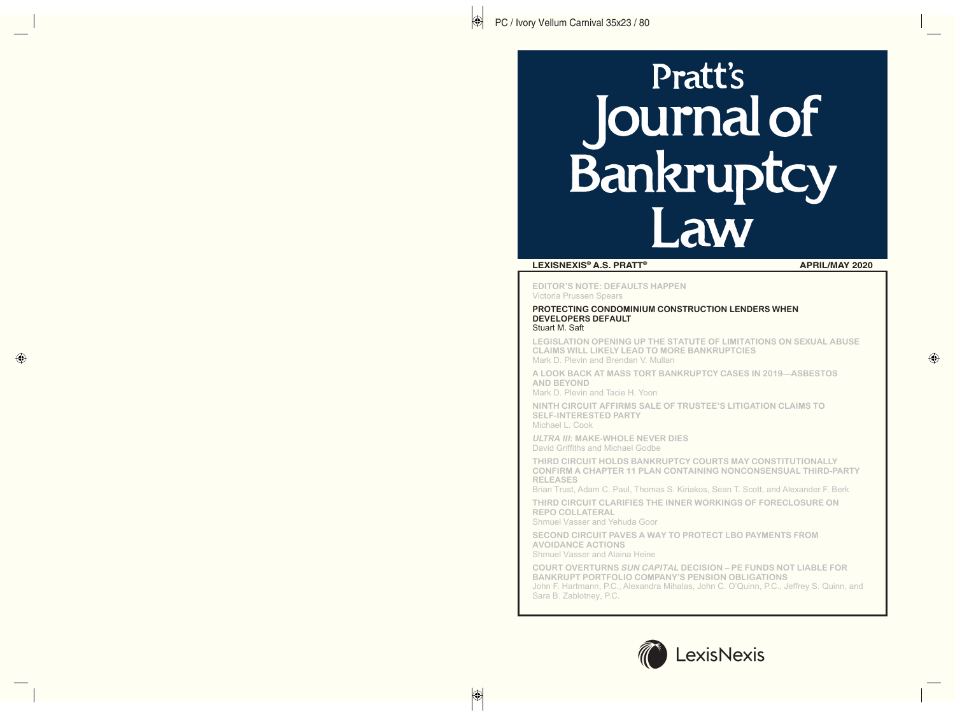# Pratt's Pratt's<br>**urnal of Ban AW**

## **LEXISNEXIS® A.S. PRATT® APRIL/MAY 2020**

**EDITOR'S NOTE: DEFAULTS HAPPEN**  Victoria Prussen Spears

#### **PROTECTING CONDOMINIUM CONSTRUCTION LENDERS WHEN DEVELOPERS DEFAULT**  Stuart M. Saft

**LEGISLATION OPENING UP THE STATUTE OF LIMITATIONS ON SEXUAL ABUSE CLAIMS WILL LIKELY LEAD TO MORE BANKRUPTCIES**  Mark D. Plevin and Brendan V. Mullan

**A LOOK BACK AT MASS TORT BANKRUPTCY CASES IN 2019—ASBESTOS AND BEYOND** 

Mark D. Plevin and Tacie H. Yoon

**NINTH CIRCUIT AFFIRMS SALE OF TRUSTEE'S LITIGATION CLAIMS TO SELF-INTERESTED PARTY**  Michael L. Cook

**ULTRA III: MAKE-WHOLE NEVER DIES**  David Griffiths and Michael Godbe

**THIRD CIRCUIT HOLDS BANKRUPTCY COURTS MAY CONSTITUTIONALLY CONFIRM A CHAPTER 11 PLAN CONTAINING NONCONSENSUAL THIRD-PARTY RELEASES** 

Brian Trust, Adam C. Paul, Thomas S. Kiriakos, Sean T. Scott, and Alexander F. Berk

**THIRD CIRCUIT CLARIFIES THE INNER WORKINGS OF FORECLOSURE ON REPO COLLATERAL** 

Shmuel Vasser and Yehuda Goor

**SECOND CIRCUIT PAVES A WAY TO PROTECT LBO PAYMENTS FROM AVOIDANCE ACTIONS**  Shmuel Vasser and Alaina Heine

**COURT OVERTURNS SUN CAPITAL DECISION – PE FUNDS NOT LIABLE FOR BANKRUPT PORTFOLIO COMPANY'S PENSION OBLIGATIONS**  John F. Hartmann, P.C., Alexandra Mihalas, John C. O'Quinn, P.C., Jeffrey S. Quinn, and Sara B. Zablotney, P.C.

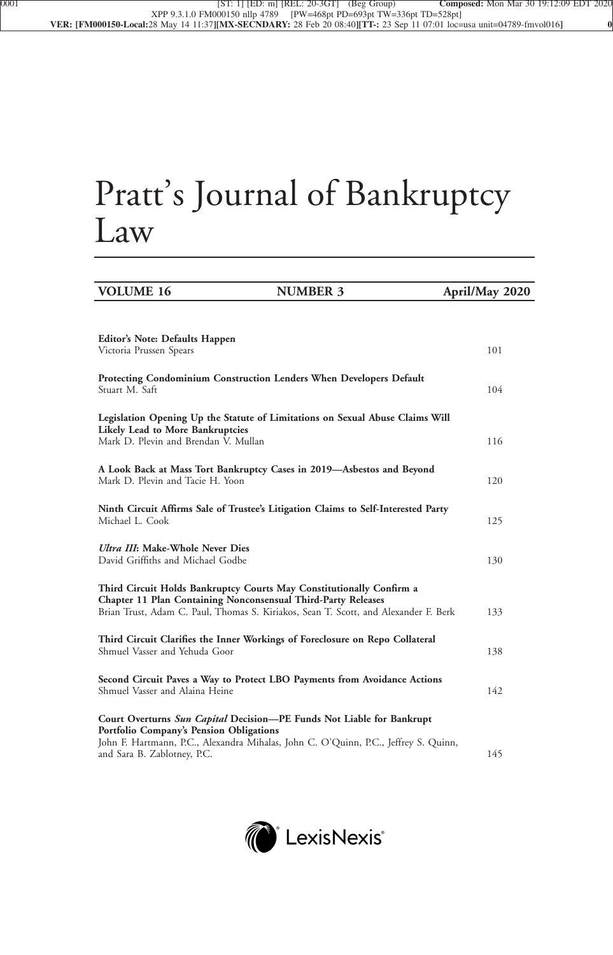# Pratt's Journal of Bankruptcy Law

| <b>VOLUME 16</b>                                                         | <b>NUMBER 3</b>                                                                                                                                      | April/May 2020 |
|--------------------------------------------------------------------------|------------------------------------------------------------------------------------------------------------------------------------------------------|----------------|
|                                                                          |                                                                                                                                                      |                |
| Editor's Note: Defaults Happen<br>Victoria Prussen Spears                |                                                                                                                                                      | 101            |
| Stuart M. Saft                                                           | Protecting Condominium Construction Lenders When Developers Default                                                                                  | 104            |
|                                                                          | Legislation Opening Up the Statute of Limitations on Sexual Abuse Claims Will                                                                        |                |
| Likely Lead to More Bankruptcies<br>Mark D. Plevin and Brendan V. Mullan |                                                                                                                                                      | 116            |
| Mark D. Plevin and Tacie H. Yoon                                         | A Look Back at Mass Tort Bankruptcy Cases in 2019—Asbestos and Beyond                                                                                | 120            |
| Michael L. Cook                                                          | Ninth Circuit Affirms Sale of Trustee's Litigation Claims to Self-Interested Party                                                                   | 125            |
| Ultra III: Make-Whole Never Dies<br>David Griffiths and Michael Godbe    |                                                                                                                                                      | 130            |
|                                                                          | Third Circuit Holds Bankruptcy Courts May Constitutionally Confirm a                                                                                 |                |
|                                                                          | Chapter 11 Plan Containing Nonconsensual Third-Party Releases<br>Brian Trust, Adam C. Paul, Thomas S. Kiriakos, Sean T. Scott, and Alexander F. Berk | 133            |
| Shmuel Vasser and Yehuda Goor                                            | Third Circuit Clarifies the Inner Workings of Foreclosure on Repo Collateral                                                                         | 138            |
| Shmuel Vasser and Alaina Heine                                           | Second Circuit Paves a Way to Protect LBO Payments from Avoidance Actions                                                                            | 142            |
|                                                                          | Court Overturns Sun Capital Decision-PE Funds Not Liable for Bankrupt                                                                                |                |
| Portfolio Company's Pension Obligations<br>and Sara B. Zablotney, P.C.   | John F. Hartmann, P.C., Alexandra Mihalas, John C. O'Quinn, P.C., Jeffrey S. Quinn,                                                                  | 145            |

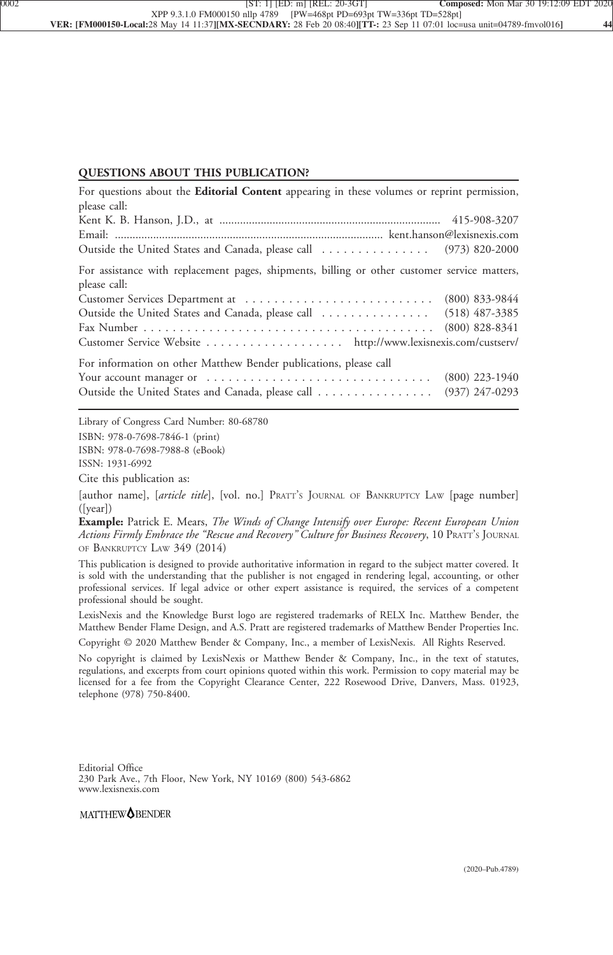### **QUESTIONS ABOUT THIS PUBLICATION?**

| For questions about the Editorial Content appearing in these volumes or reprint permission,                  |                  |
|--------------------------------------------------------------------------------------------------------------|------------------|
| please call:                                                                                                 |                  |
|                                                                                                              |                  |
|                                                                                                              |                  |
| Outside the United States and Canada, please call  (973) 820-2000                                            |                  |
| For assistance with replacement pages, shipments, billing or other customer service matters,<br>please call: |                  |
|                                                                                                              |                  |
| Outside the United States and Canada, please call  (518) 487-3385                                            |                  |
|                                                                                                              | $(800)$ 828-8341 |
| Customer Service Website http://www.lexisnexis.com/custserv/                                                 |                  |
| For information on other Matthew Bender publications, please call                                            |                  |
|                                                                                                              | $(800)$ 223-1940 |
| Outside the United States and Canada, please call                                                            | $(937)$ 247-0293 |

Library of Congress Card Number: 80-68780 ISBN: 978-0-7698-7846-1 (print) ISBN: 978-0-7698-7988-8 (eBook) ISSN: 1931-6992

Cite this publication as:

[author name], [*article title*], [vol. no.] PRATT'<sup>S</sup> JOURNAL OF BANKRUPTCY LAW [page number] ([year])

**Example:** Patrick E. Mears, *The Winds of Change Intensify over Europe: Recent European Union Actions Firmly Embrace the "Rescue and Recovery" Culture for Business Recovery*, 10 PRATT'<sup>S</sup> JOURNAL OF BANKRUPTCY LAW 349 (2014)

This publication is designed to provide authoritative information in regard to the subject matter covered. It is sold with the understanding that the publisher is not engaged in rendering legal, accounting, or other professional services. If legal advice or other expert assistance is required, the services of a competent professional should be sought.

LexisNexis and the Knowledge Burst logo are registered trademarks of RELX Inc. Matthew Bender, the Matthew Bender Flame Design, and A.S. Pratt are registered trademarks of Matthew Bender Properties Inc.

Copyright © 2020 Matthew Bender & Company, Inc., a member of LexisNexis. All Rights Reserved.

No copyright is claimed by LexisNexis or Matthew Bender & Company, Inc., in the text of statutes, regulations, and excerpts from court opinions quoted within this work. Permission to copy material may be licensed for a fee from the Copyright Clearance Center, 222 Rosewood Drive, Danvers, Mass. 01923, telephone (978) 750-8400.

Editorial Office 230 Park Ave., 7th Floor, New York, NY 10169 (800) 543-6862 www.lexisnexis.com

## MATTHEW<sup>OBENDER</sup>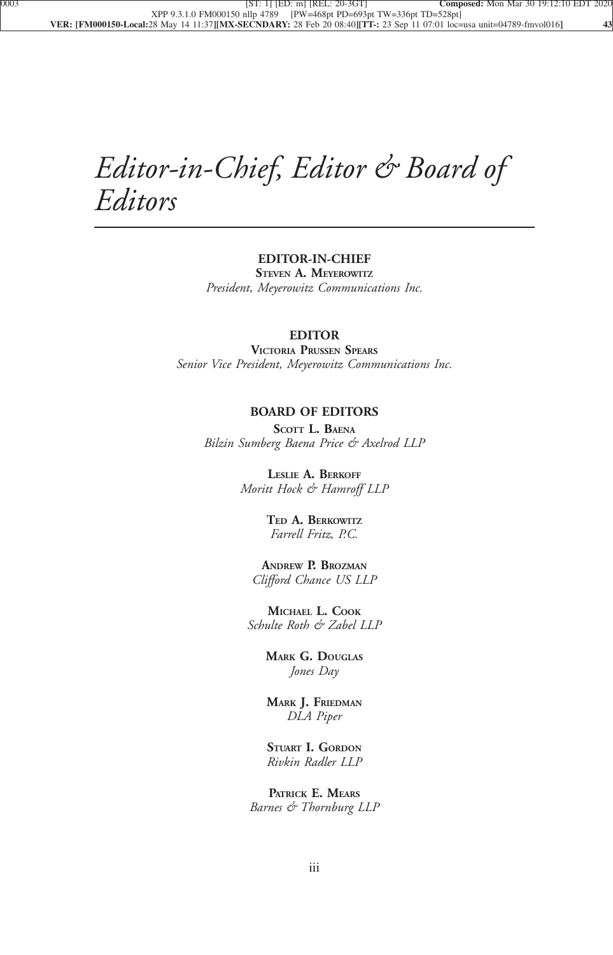## *Editor-in-Chief, Editor & Board of Editors*

## **EDITOR-IN-CHIEF**

**STEVEN A. MEYEROWITZ** *President, Meyerowitz Communications Inc.*

## **EDITOR**

**VICTORIA PRUSSEN SPEARS** *Senior Vice President, Meyerowitz Communications Inc.*

## **BOARD OF EDITORS**

**SCOTT L. BAENA** *Bilzin Sumberg Baena Price & Axelrod LLP*

> **LESLIE A. BERKOFF** *Moritt Hock & Hamroff LLP*

> > **TED A. BERKOWITZ** *Farrell Fritz, P.C.*

**ANDREW P. BROZMAN** *Clifford Chance US LLP*

**MICHAEL L. COOK** *Schulte Roth & Zabel LLP*

> **MARK G. DOUGLAS** *Jones Day*

> **MARK J. FRIEDMAN** *DLA Piper*

> **STUART I. GORDON** *Rivkin Radler LLP*

**PATRICK E. MEARS** *Barnes & Thornburg LLP*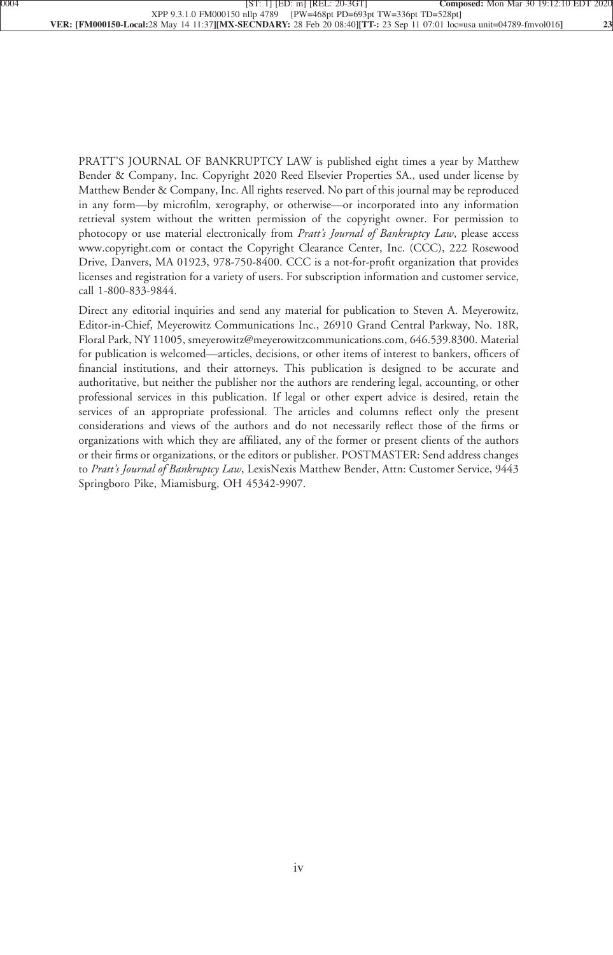PRATT'S JOURNAL OF BANKRUPTCY LAW is published eight times a year by Matthew Bender & Company, Inc. Copyright 2020 Reed Elsevier Properties SA., used under license by Matthew Bender & Company, Inc. All rights reserved. No part of this journal may be reproduced in any form—by microfilm, xerography, or otherwise—or incorporated into any information retrieval system without the written permission of the copyright owner. For permission to photocopy or use material electronically from *Pratt's Journal of Bankruptcy Law*, please access www.copyright.com or contact the Copyright Clearance Center, Inc. (CCC), 222 Rosewood Drive, Danvers, MA 01923, 978-750-8400. CCC is a not-for-profit organization that provides licenses and registration for a variety of users. For subscription information and customer service, call 1-800-833-9844.

Direct any editorial inquiries and send any material for publication to Steven A. Meyerowitz, Editor-in-Chief, Meyerowitz Communications Inc., 26910 Grand Central Parkway, No. 18R, Floral Park, NY 11005, smeyerowitz@meyerowitzcommunications.com, 646.539.8300. Material for publication is welcomed—articles, decisions, or other items of interest to bankers, officers of financial institutions, and their attorneys. This publication is designed to be accurate and authoritative, but neither the publisher nor the authors are rendering legal, accounting, or other professional services in this publication. If legal or other expert advice is desired, retain the services of an appropriate professional. The articles and columns reflect only the present considerations and views of the authors and do not necessarily reflect those of the firms or organizations with which they are affiliated, any of the former or present clients of the authors or their firms or organizations, or the editors or publisher. POSTMASTER: Send address changes to *Pratt's Journal of Bankruptcy Law*, LexisNexis Matthew Bender, Attn: Customer Service, 9443 Springboro Pike, Miamisburg, OH 45342-9907.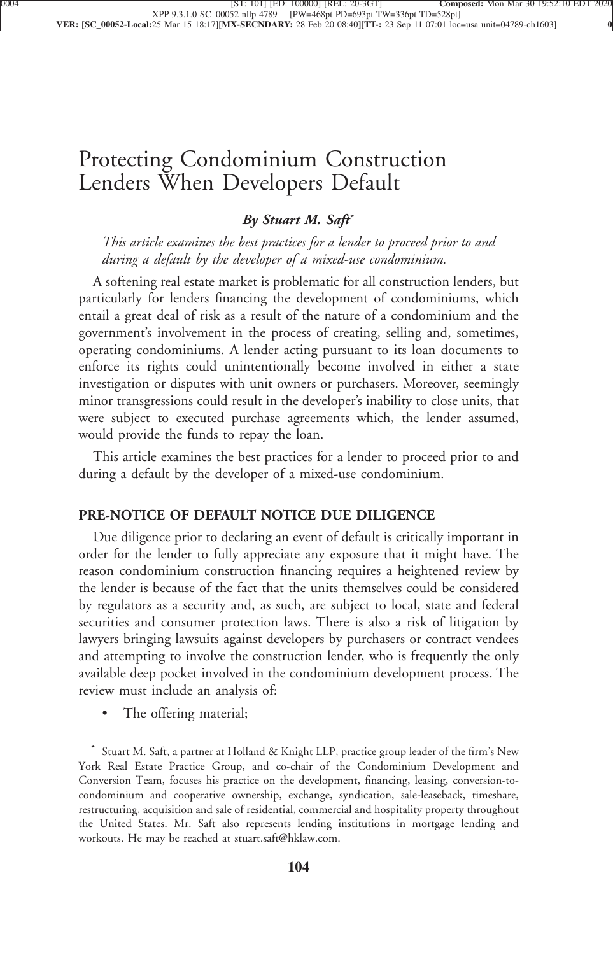## [Protecting Condominium Construction](xpath-> core:title,  tr:secmain/core:title,  desig_title,  style_01) [Lenders When Developers Default](xpath-> core:title,  tr:secmain/core:title,  desig_title,  style_01)

## *[By Stuart M. Saft](xpath-> core:byline,  core:byline,  byline,  style_01)***\***

*[This article examines the best practices for a lender to proceed prior to and](xpath-> core:blockquote-para,  Default,  blockquote,  style_02) [during a default by the developer of a mixed-use condominium.](xpath-> core:blockquote-para,  Default,  blockquote,  style_02)*

[A softening real estate market is problematic for all construction lenders, but](xpath-> core:para,  Default,  para-list,  style_01) [particularly for lenders financing the development of condominiums, which](xpath-> core:para,  Default,  para-list,  style_01) [entail a great deal of risk as a result of the nature of a condominium and the](xpath-> core:para,  Default,  para-list,  style_01) [government's involvement in the process of creating, selling and, sometimes,](xpath-> core:para,  Default,  para-list,  style_01) [operating condominiums. A lender acting pursuant to its loan documents to](xpath-> core:para,  Default,  para-list,  style_01) [enforce its rights could unintentionally become involved in either a state](xpath-> core:para,  Default,  para-list,  style_01) [investigation or disputes with unit owners or purchasers. Moreover, seemingly](xpath-> core:para,  Default,  para-list,  style_01) [minor transgressions could result in the developer's inability to close units, that](xpath-> core:para,  Default,  para-list,  style_01) [were subject to executed purchase agreements which, the lender assumed,](xpath-> core:para,  Default,  para-list,  style_01) [would provide the funds to repay the loan.](xpath-> core:para,  Default,  para-list,  style_01)

[This article examines the best practices for a lender to proceed prior to and](xpath-> core:para,  Default,  para-list,  style_01) [during a default by the developer of a mixed-use condominium.](xpath-> core:para,  Default,  para-list,  style_01)

## **[PRE-NOTICE OF DEFAULT NOTICE DUE DILIGENCE](xpath-> core:generic-hd,  Default,  core_generic_hd,  style_01)**

[Due diligence prior to declaring an event of default is critically important in](xpath-> core:para,  Default,  para-list,  style_01) [order for the lender to fully appreciate any exposure that it might have. The](xpath-> core:para,  Default,  para-list,  style_01) [reason condominium construction financing requires a heightened review by](xpath-> core:para,  Default,  para-list,  style_01) [the lender is because of the fact that the units themselves could be considered](xpath-> core:para,  Default,  para-list,  style_01) [by regulators as a security and, as such, are subject to local, state and federal](xpath-> core:para,  Default,  para-list,  style_01) [securities and consumer protection laws. There is also a risk of litigation by](xpath-> core:para,  Default,  para-list,  style_01) [lawyers bringing lawsuits against developers by purchasers or contract vendees](xpath-> core:para,  Default,  para-list,  style_01) [and attempting to involve the construction lender, who is frequently the only](xpath-> core:para,  Default,  para-list,  style_01) [available deep pocket involved in the condominium development process. The](xpath-> core:para,  Default,  para-list,  style_01) [review must include an analysis of:](xpath-> core:para,  Default,  para-list,  style_01)

[•](xpath-> core:enum,  core:listitem/core:enum,  para-list,  style_01) [The offering material;](xpath-> core:para,  core:listitem/core:para,  para-list,  style_01)

**<sup>\*</sup>** [Stuart M. Saft, a partner at Holland & Knight LLP, practice group leader of the firm's New](xpath-> pnfo:bio-para,  fn:bio-footnote/pnfo:bio-para,  byline,  ) [York Real Estate Practice Group, and co-chair of the Condominium Development and](xpath-> pnfo:bio-para,  fn:bio-footnote/pnfo:bio-para,  byline,  ) [Conversion Team, focuses his practice on the development, financing, leasing, conversion-to](xpath-> pnfo:bio-para,  fn:bio-footnote/pnfo:bio-para,  byline,  )[condominium and cooperative ownership, exchange, syndication, sale-leaseback, timeshare,](xpath-> pnfo:bio-para,  fn:bio-footnote/pnfo:bio-para,  byline,  ) [restructuring, acquisition and sale of residential, commercial and hospitality property throughout](xpath-> pnfo:bio-para,  fn:bio-footnote/pnfo:bio-para,  byline,  ) [the United States. Mr. Saft also represents lending institutions in mortgage lending and](xpath-> pnfo:bio-para,  fn:bio-footnote/pnfo:bio-para,  byline,  ) [workouts. He may be reached at stuart.saft@hklaw.com.](xpath-> pnfo:bio-para,  fn:bio-footnote/pnfo:bio-para,  byline,  )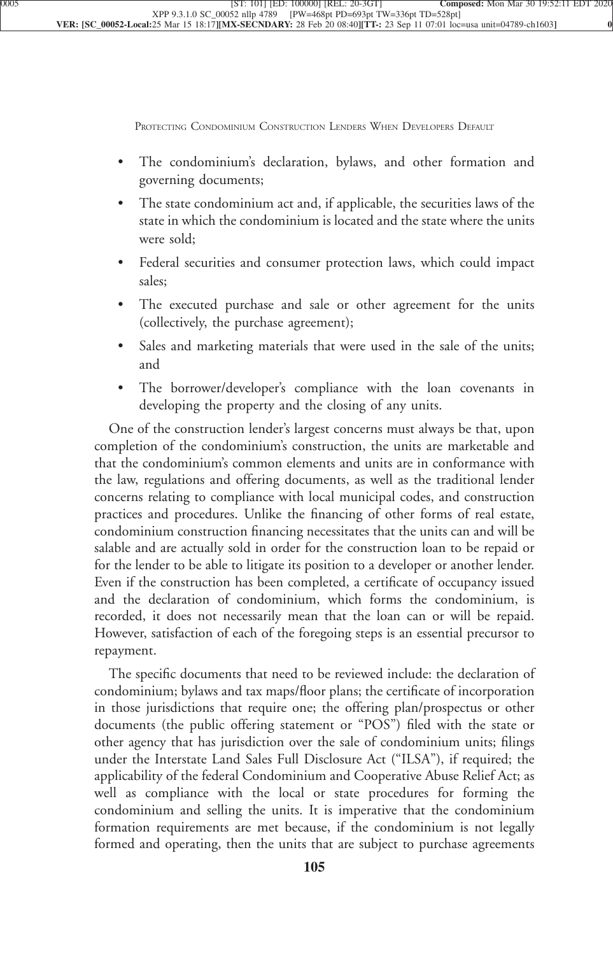PROTECTING CONDOMINIUM CONSTRUCTION LENDERS WHEN DEVELOPERS DEFAULT

- [•](xpath-> core:enum,  core:listitem/core:enum,  para-list,  style_01) [The condominium's declaration, bylaws, and other formation and](xpath-> core:para,  core:listitem/core:para,  para-list,  style_01) [governing documents;](xpath-> core:para,  core:listitem/core:para,  para-list,  style_01)
- [•](xpath-> core:enum,  core:listitem/core:enum,  para-list,  style_01) [The state condominium act and, if applicable, the securities laws of the](xpath-> core:para,  core:listitem/core:para,  para-list,  style_01) [state in which the condominium is located and the state where the units](xpath-> core:para,  core:listitem/core:para,  para-list,  style_01) [were sold;](xpath-> core:para,  core:listitem/core:para,  para-list,  style_01)
- [•](xpath-> core:enum,  core:listitem/core:enum,  para-list,  style_01) [Federal securities and consumer protection laws, which could impact](xpath-> core:para,  core:listitem/core:para,  para-list,  style_01) [sales;](xpath-> core:para,  core:listitem/core:para,  para-list,  style_01)
- [•](xpath-> core:enum,  core:listitem/core:enum,  para-list,  style_01) [The executed purchase and sale or other agreement for the units](xpath-> core:para,  core:listitem/core:para,  para-list,  style_01) [\(collectively, the purchase agreement\);](xpath-> core:para,  core:listitem/core:para,  para-list,  style_01)
- [•](xpath-> core:enum,  core:listitem/core:enum,  para-list,  style_01) [Sales and marketing materials that were used in the sale of the units;](xpath-> core:para,  core:listitem/core:para,  para-list,  style_01) [and](xpath-> core:para,  core:listitem/core:para,  para-list,  style_01)
- The borrower/developer's compliance with the loan covenants in [developing the property and the closing of any units.](xpath-> core:para,  core:listitem/core:para,  para-list,  style_01)

[One of the construction lender's largest concerns must always be that, upon](xpath-> core:para,  Default,  para-list,  style_01) [completion of the condominium's construction, the units are marketable and](xpath-> core:para,  Default,  para-list,  style_01) [that the condominium's common elements and units are in conformance with](xpath-> core:para,  Default,  para-list,  style_01) [the law, regulations and offering documents, as well as the traditional lender](xpath-> core:para,  Default,  para-list,  style_01) [concerns relating to compliance with local municipal codes, and construction](xpath-> core:para,  Default,  para-list,  style_01) [practices and procedures. Unlike the financing of other forms of real estate,](xpath-> core:para,  Default,  para-list,  style_01) [condominium construction financing necessitates that the units can and will be](xpath-> core:para,  Default,  para-list,  style_01) [salable and are actually sold in order for the construction loan to be repaid or](xpath-> core:para,  Default,  para-list,  style_01) [for the lender to be able to litigate its position to a developer or another lender.](xpath-> core:para,  Default,  para-list,  style_01) [Even if the construction has been completed, a certificate of occupancy issued](xpath-> core:para,  Default,  para-list,  style_01) [and the declaration of condominium, which forms the condominium, is](xpath-> core:para,  Default,  para-list,  style_01) [recorded, it does not necessarily mean that the loan can or will be repaid.](xpath-> core:para,  Default,  para-list,  style_01) [However, satisfaction of each of the foregoing steps is an essential precursor to](xpath-> core:para,  Default,  para-list,  style_01) [repayment.](xpath-> core:para,  Default,  para-list,  style_01)

[The specific documents that need to be reviewed include: the declaration of](xpath-> core:para,  Default,  para-list,  style_01) [condominium; bylaws and tax maps/floor plans; the certificate of incorporation](xpath-> core:para,  Default,  para-list,  style_01) [in those jurisdictions that require one; the offering plan/prospectus or other](xpath-> core:para,  Default,  para-list,  style_01) [documents \(the public offering statement or "POS"\) filed with the state or](xpath-> core:para,  Default,  para-list,  style_01) [other agency that has jurisdiction over the sale of condominium units; filings](xpath-> core:para,  Default,  para-list,  style_01) [under the Interstate Land Sales Full Disclosure Act \("ILSA"\), if required; the](xpath-> core:para,  Default,  para-list,  style_01) [applicability of the federal Condominium and Cooperative Abuse Relief Act; as](xpath-> core:para,  Default,  para-list,  style_01) [well as compliance with the local or state procedures for forming the](xpath-> core:para,  Default,  para-list,  style_01) [condominium and selling the units. It is imperative that the condominium](xpath-> core:para,  Default,  para-list,  style_01) [formation requirements are met because, if the condominium is not legally](xpath-> core:para,  Default,  para-list,  style_01) [formed and operating, then the units that are subject to purchase agreements](xpath-> core:para,  Default,  para-list,  style_01)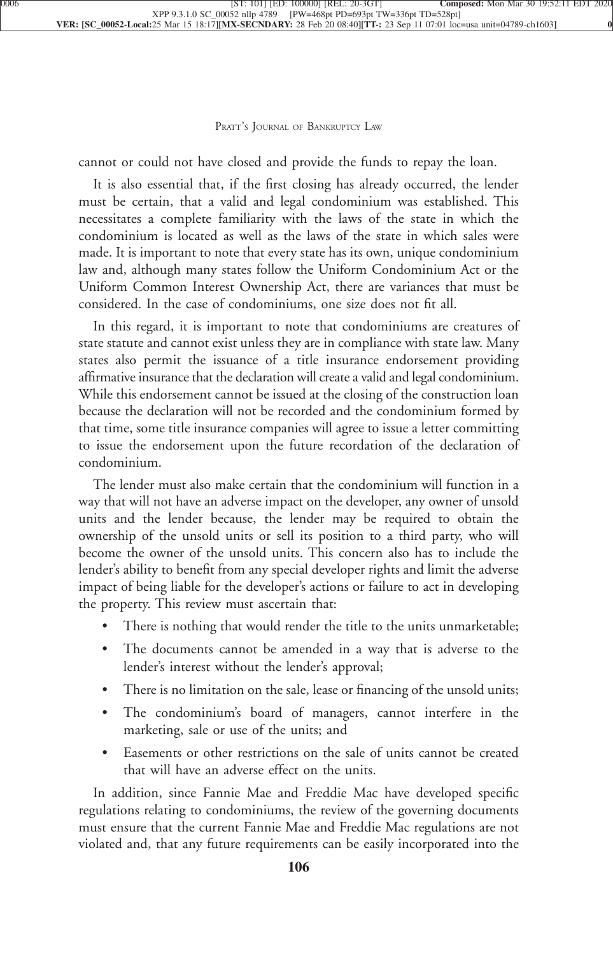[cannot or could not have closed and provide the funds to repay the loan.](xpath-> core:para,  Default,  para-list,  style_01)

[It is also essential that, if the first closing has already occurred, the lender](xpath-> core:para,  Default,  para-list,  style_01) [must be certain, that a valid and legal condominium was established. This](xpath-> core:para,  Default,  para-list,  style_01) [necessitates a complete familiarity with the laws of the state in which the](xpath-> core:para,  Default,  para-list,  style_01) [condominium is located as well as the laws of the state in which sales were](xpath-> core:para,  Default,  para-list,  style_01) [made. It is important to note that every state has its own, unique condominium](xpath-> core:para,  Default,  para-list,  style_01) [law and, although many states follow the Uniform Condominium Act or the](xpath-> core:para,  Default,  para-list,  style_01) [Uniform Common Interest Ownership Act, there are variances that must be](xpath-> core:para,  Default,  para-list,  style_01) [considered. In the case of condominiums, one size does not fit all.](xpath-> core:para,  Default,  para-list,  style_01)

[In this regard, it is important to note that condominiums are creatures of](xpath-> core:para,  Default,  para-list,  style_01) [state statute and cannot exist unless they are in compliance with state law. Many](xpath-> core:para,  Default,  para-list,  style_01) [states also permit the issuance of a title insurance endorsement providing](xpath-> core:para,  Default,  para-list,  style_01) [affirmative insurance that the declaration will create a valid and legal condominium.](xpath-> core:para,  Default,  para-list,  style_01) [While this endorsement cannot be issued at the closing of the construction loan](xpath-> core:para,  Default,  para-list,  style_01) [because the declaration will not be recorded and the condominium formed by](xpath-> core:para,  Default,  para-list,  style_01) [that time, some title insurance companies will agree to issue a letter committing](xpath-> core:para,  Default,  para-list,  style_01) [to issue the endorsement upon the future recordation of the declaration of](xpath-> core:para,  Default,  para-list,  style_01) [condominium.](xpath-> core:para,  Default,  para-list,  style_01)

[The lender must also make certain that the condominium will function in a](xpath-> core:para,  Default,  para-list,  style_01) [way that will not have an adverse impact on the developer, any owner of unsold](xpath-> core:para,  Default,  para-list,  style_01) [units and the lender because, the lender may be required to obtain the](xpath-> core:para,  Default,  para-list,  style_01) [ownership of the unsold units or sell its position to a third party, who will](xpath-> core:para,  Default,  para-list,  style_01) [become the owner of the unsold units. This concern also has to include the](xpath-> core:para,  Default,  para-list,  style_01) [lender's ability to benefit from any special developer rights and limit the adverse](xpath-> core:para,  Default,  para-list,  style_01) [impact of being liable for the developer's actions or failure to act in developing](xpath-> core:para,  Default,  para-list,  style_01) [the property. This review must ascertain that:](xpath-> core:para,  Default,  para-list,  style_01)

- [•](xpath-> core:enum,  core:listitem/core:enum,  para-list,  style_01) [There is nothing that would render the title to the units unmarketable;](xpath-> core:para,  core:listitem/core:para,  para-list,  style_01)
- [•](xpath-> core:enum,  core:listitem/core:enum,  para-list,  style_01) [The documents cannot be amended in a way that is adverse to the](xpath-> core:para,  core:listitem/core:para,  para-list,  style_01) [lender's interest without the lender's approval;](xpath-> core:para,  core:listitem/core:para,  para-list,  style_01)
- There is no limitation on the sale, lease or financing of the unsold units;
- The condominium's board of managers, cannot interfere in the [marketing, sale or use of the units; and](xpath-> core:para,  core:listitem/core:para,  para-list,  style_01)
- Easements or other restrictions on the sale of units cannot be created [that will have an adverse effect on the units.](xpath-> core:para,  core:listitem/core:para,  para-list,  style_01)

[In addition, since Fannie Mae and Freddie Mac have developed specific](xpath-> core:para,  Default,  para-list,  style_01) [regulations relating to condominiums, the review of the governing documents](xpath-> core:para,  Default,  para-list,  style_01) [must ensure that the current Fannie Mae and Freddie Mac regulations are not](xpath-> core:para,  Default,  para-list,  style_01) [violated and, that any future requirements can be easily incorporated into the](xpath-> core:para,  Default,  para-list,  style_01)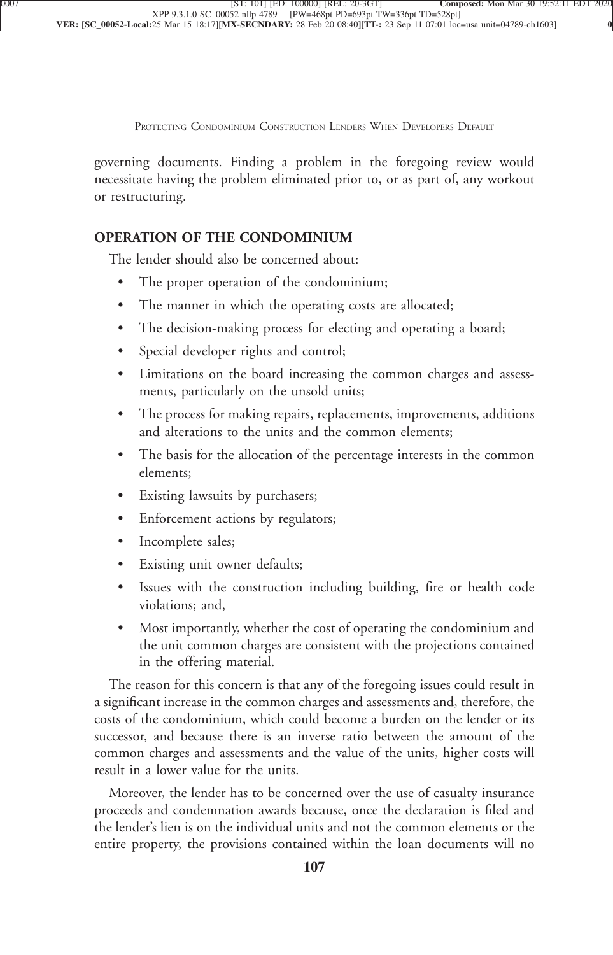PROTECTING CONDOMINIUM CONSTRUCTION LENDERS WHEN DEVELOPERS DEFAULT

governing documents. Finding a problem in the foregoing review would necessitate having the problem eliminated prior to, or as part of, any workout [or restructuring.](xpath-> core:para,  Default,  para-list,  style_01)

## **[OPERATION OF THE CONDOMINIUM](xpath-> core:generic-hd,  Default,  core_generic_hd,  style_01)**

[The lender should also be concerned about:](xpath-> core:para,  Default,  para-list,  style_01)

- The proper operation of the condominium;
- [•](xpath-> core:enum,  core:listitem/core:enum,  para-list,  style_01) [The manner in which the operating costs are allocated;](xpath-> core:para,  core:listitem/core:para,  para-list,  style_01)
- [•](xpath-> core:enum,  core:listitem/core:enum,  para-list,  style_01) [The decision-making process for electing and operating a board;](xpath-> core:para,  core:listitem/core:para,  para-list,  style_01)
- [•](xpath-> core:enum,  core:listitem/core:enum,  para-list,  style_01) [Special developer rights and control;](xpath-> core:para,  core:listitem/core:para,  para-list,  style_01)
- [•](xpath-> core:enum,  core:listitem/core:enum,  para-list,  style_01) [Limitations on the board increasing the common charges and assess](xpath-> core:para,  core:listitem/core:para,  para-list,  style_01)[ments, particularly on the unsold units;](xpath-> core:para,  core:listitem/core:para,  para-list,  style_01)
- The process for making repairs, replacements, improvements, additions [and alterations to the units and the common elements;](xpath-> core:para,  core:listitem/core:para,  para-list,  style_01)
- [•](xpath-> core:enum,  core:listitem/core:enum,  para-list,  style_01) [The basis for the allocation of the percentage interests in the common](xpath-> core:para,  core:listitem/core:para,  para-list,  style_01) [elements;](xpath-> core:para,  core:listitem/core:para,  para-list,  style_01)
- [•](xpath-> core:enum,  core:listitem/core:enum,  para-list,  style_01) [Existing lawsuits by purchasers;](xpath-> core:para,  core:listitem/core:para,  para-list,  style_01)
- [•](xpath-> core:enum,  core:listitem/core:enum,  para-list,  style_01) [Enforcement actions by regulators;](xpath-> core:para,  core:listitem/core:para,  para-list,  style_01)
- [•](xpath-> core:enum,  core:listitem/core:enum,  para-list,  style_01) [Incomplete sales;](xpath-> core:para,  core:listitem/core:para,  para-list,  style_01)
- [•](xpath-> core:enum,  core:listitem/core:enum,  para-list,  style_01) [Existing unit owner defaults;](xpath-> core:para,  core:listitem/core:para,  para-list,  style_01)
- [•](xpath-> core:enum,  core:listitem/core:enum,  para-list,  style_01) [Issues with the construction including building, fire or health code](xpath-> core:para,  core:listitem/core:para,  para-list,  style_01) [violations; and,](xpath-> core:para,  core:listitem/core:para,  para-list,  style_01)
- [•](xpath-> core:enum,  core:listitem/core:enum,  para-list,  style_01) [Most importantly, whether the cost of operating the condominium and](xpath-> core:para,  core:listitem/core:para,  para-list,  style_01) [the unit common charges are consistent with the projections contained](xpath-> core:para,  core:listitem/core:para,  para-list,  style_01) [in the offering material.](xpath-> core:para,  core:listitem/core:para,  para-list,  style_01)

[The reason for this concern is that any of the foregoing issues could result in](xpath-> core:para,  Default,  para-list,  style_01) [a significant increase in the common charges and assessments and, therefore, the](xpath-> core:para,  Default,  para-list,  style_01) [costs of the condominium, which could become a burden on the lender or its](xpath-> core:para,  Default,  para-list,  style_01) [successor, and because there is an inverse ratio between the amount of the](xpath-> core:para,  Default,  para-list,  style_01) [common charges and assessments and the value of the units, higher costs will](xpath-> core:para,  Default,  para-list,  style_01) [result in a lower value for the units.](xpath-> core:para,  Default,  para-list,  style_01)

[Moreover, the lender has to be concerned over the use of casualty insurance](xpath-> core:para,  Default,  para-list,  style_01) [proceeds and condemnation awards because, once the declaration is filed and](xpath-> core:para,  Default,  para-list,  style_01) [the lender's lien is on the individual units and not the common elements or the](xpath-> core:para,  Default,  para-list,  style_01) [entire property, the provisions contained within the loan documents will no](xpath-> core:para,  Default,  para-list,  style_01)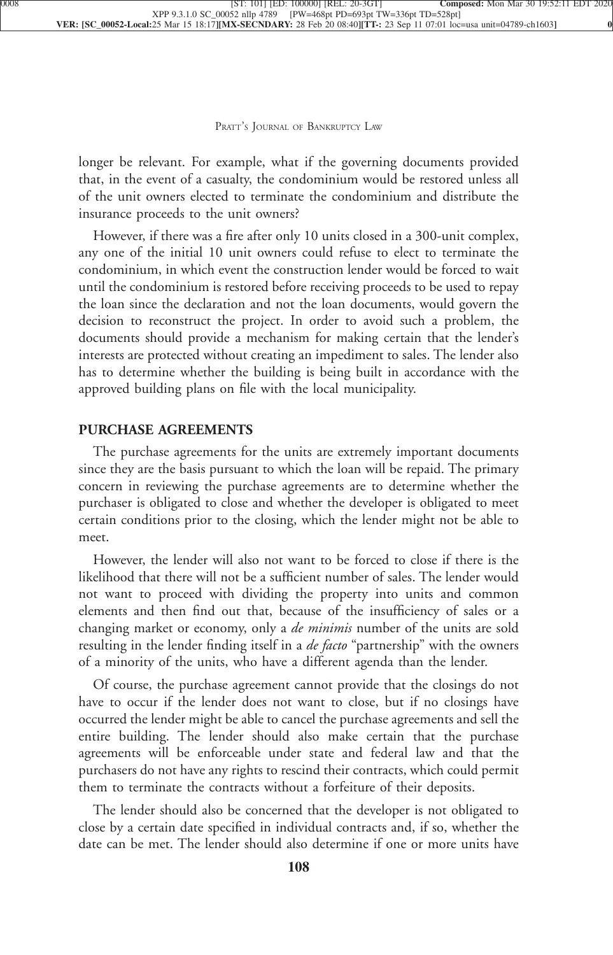longer be relevant. For example, what if the governing documents provided that, in the event of a casualty, the condominium would be restored unless all of the unit owners elected to terminate the condominium and distribute the [insurance proceeds to the unit owners?](xpath-> core:para,  Default,  para-list,  style_01)

[However, if there was a fire after only 10 units closed in a 300-unit complex,](xpath-> core:para,  Default,  para-list,  style_01) [any one of the initial 10 unit owners could refuse to elect to terminate the](xpath-> core:para,  Default,  para-list,  style_01) [condominium, in which event the construction lender would be forced to wait](xpath-> core:para,  Default,  para-list,  style_01) [until the condominium is restored before receiving proceeds to be used to repay](xpath-> core:para,  Default,  para-list,  style_01) [the loan since the declaration and not the loan documents, would govern the](xpath-> core:para,  Default,  para-list,  style_01) [decision to reconstruct the project. In order to avoid such a problem, the](xpath-> core:para,  Default,  para-list,  style_01) [documents should provide a mechanism for making certain that the lender's](xpath-> core:para,  Default,  para-list,  style_01) [interests are protected without creating an impediment to sales. The lender also](xpath-> core:para,  Default,  para-list,  style_01) [has to determine whether the building is being built in accordance with the](xpath-> core:para,  Default,  para-list,  style_01) [approved building plans on file with the local municipality.](xpath-> core:para,  Default,  para-list,  style_01)

## **[PURCHASE AGREEMENTS](xpath-> core:generic-hd,  Default,  core_generic_hd,  style_01)**

[The purchase agreements for the units are extremely important documents](xpath-> core:para,  Default,  para-list,  style_01) [since they are the basis pursuant to which the loan will be repaid. The primary](xpath-> core:para,  Default,  para-list,  style_01) [concern in reviewing the purchase agreements are to determine whether the](xpath-> core:para,  Default,  para-list,  style_01) [purchaser is obligated to close and whether the developer is obligated to meet](xpath-> core:para,  Default,  para-list,  style_01) [certain conditions prior to the closing, which the lender might not be able to](xpath-> core:para,  Default,  para-list,  style_01) [meet.](xpath-> core:para,  Default,  para-list,  style_01)

[However, the lender will also not want to be forced to close if there is the](xpath-> core:para,  Default,  para-list,  style_01) [likelihood that there will not be a sufficient number of sales. The lender would](xpath-> core:para,  Default,  para-list,  style_01) [not want to proceed with dividing the property into units and common](xpath-> core:para,  Default,  para-list,  style_01) [elements and then find out that, because of the insufficiency of sales or a](xpath-> core:para,  Default,  para-list,  style_01) [changing market or economy, only a](xpath-> core:para,  Default,  para-list,  style_01) *de minimis* number of the units are sold [resulting in the lender finding itself in a](xpath-> core:para,  Default,  para-list,  style_01) *de facto* "partnership" with the owners [of a minority of the units, who have a different agenda than the lender.](xpath-> core:para,  Default,  para-list,  style_01)

[Of course, the purchase agreement cannot provide that the closings do not](xpath-> core:para,  Default,  para-list,  style_01) [have to occur if the lender does not want to close, but if no closings have](xpath-> core:para,  Default,  para-list,  style_01) [occurred the lender might be able to cancel the purchase agreements and sell the](xpath-> core:para,  Default,  para-list,  style_01) [entire building. The lender should also make certain that the purchase](xpath-> core:para,  Default,  para-list,  style_01) [agreements will be enforceable under state and federal law and that the](xpath-> core:para,  Default,  para-list,  style_01) [purchasers do not have any rights to rescind their contracts, which could permit](xpath-> core:para,  Default,  para-list,  style_01) [them to terminate the contracts without a forfeiture of their deposits.](xpath-> core:para,  Default,  para-list,  style_01)

[The lender should also be concerned that the developer is not obligated to](xpath-> core:para,  Default,  para-list,  style_01) [close by a certain date specified in individual contracts and, if so, whether the](xpath-> core:para,  Default,  para-list,  style_01) [date can be met. The lender should also determine if one or more units have](xpath-> core:para,  Default,  para-list,  style_01)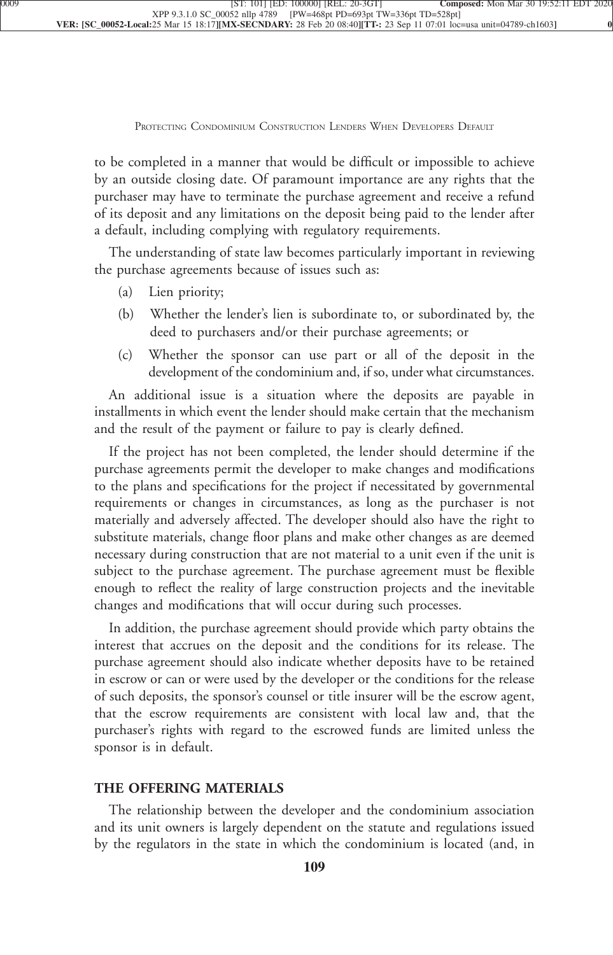to be completed in a manner that would be difficult or impossible to achieve by an outside closing date. Of paramount importance are any rights that the purchaser may have to terminate the purchase agreement and receive a refund of its deposit and any limitations on the deposit being paid to the lender after [a default, including complying with regulatory requirements.](xpath-> core:para,  Default,  para-list,  style_01)

[The understanding of state law becomes particularly important in reviewing](xpath-> core:para,  Default,  para-list,  style_01) [the purchase agreements because of issues such as:](xpath-> core:para,  Default,  para-list,  style_01)

- [\(a\)](xpath-> core:enum,  core:listitem/core:enum,  para-list,  style_01) [Lien priority;](xpath-> core:para,  core:listitem/core:para,  para-list,  style_01)
- [\(b\)](xpath-> core:enum,  core:listitem/core:enum,  para-list,  style_01) [Whether the lender's lien is subordinate to, or subordinated by, the](xpath-> core:para,  core:listitem/core:para,  para-list,  style_01) [deed to purchasers and/or their purchase agreements; or](xpath-> core:para,  core:listitem/core:para,  para-list,  style_01)
- [\(c\)](xpath-> core:enum,  core:listitem/core:enum,  para-list,  style_01) [Whether the sponsor can use part or all of the deposit in the](xpath-> core:para,  core:listitem/core:para,  para-list,  style_01) [development of the condominium and, if so, under what circumstances.](xpath-> core:para,  core:listitem/core:para,  para-list,  style_01)

[An additional issue is a situation where the deposits are payable in](xpath-> core:para,  Default,  para-list,  style_01) [installments in which event the lender should make certain that the mechanism](xpath-> core:para,  Default,  para-list,  style_01) [and the result of the payment or failure to pay is clearly defined.](xpath-> core:para,  Default,  para-list,  style_01)

[If the project has not been completed, the lender should determine if the](xpath-> core:para,  Default,  para-list,  style_01) [purchase agreements permit the developer to make changes and modifications](xpath-> core:para,  Default,  para-list,  style_01) [to the plans and specifications for the project if necessitated by governmental](xpath-> core:para,  Default,  para-list,  style_01) [requirements or changes in circumstances, as long as the purchaser is not](xpath-> core:para,  Default,  para-list,  style_01) [materially and adversely affected. The developer should also have the right to](xpath-> core:para,  Default,  para-list,  style_01) [substitute materials, change floor plans and make other changes as are deemed](xpath-> core:para,  Default,  para-list,  style_01) [necessary during construction that are not material to a unit even if the unit is](xpath-> core:para,  Default,  para-list,  style_01) [subject to the purchase agreement. The purchase agreement must be flexible](xpath-> core:para,  Default,  para-list,  style_01) [enough to reflect the reality of large construction projects and the inevitable](xpath-> core:para,  Default,  para-list,  style_01) [changes and modifications that will occur during such processes.](xpath-> core:para,  Default,  para-list,  style_01)

[In addition, the purchase agreement should provide which party obtains the](xpath-> core:para,  Default,  para-list,  style_01) [interest that accrues on the deposit and the conditions for its release. The](xpath-> core:para,  Default,  para-list,  style_01) [purchase agreement should also indicate whether deposits have to be retained](xpath-> core:para,  Default,  para-list,  style_01) [in escrow or can or were used by the developer or the conditions for the release](xpath-> core:para,  Default,  para-list,  style_01) [of such deposits, the sponsor's counsel or title insurer will be the escrow agent,](xpath-> core:para,  Default,  para-list,  style_01) [that the escrow requirements are consistent with local law and, that the](xpath-> core:para,  Default,  para-list,  style_01) [purchaser's rights with regard to the escrowed funds are limited unless the](xpath-> core:para,  Default,  para-list,  style_01) [sponsor is in default.](xpath-> core:para,  Default,  para-list,  style_01)

## **[THE OFFERING MATERIALS](xpath-> core:generic-hd,  Default,  core_generic_hd,  style_01)**

[The relationship between the developer and the condominium association](xpath-> core:para,  Default,  para-list,  style_01) [and its unit owners is largely dependent on the statute and regulations issued](xpath-> core:para,  Default,  para-list,  style_01) [by the regulators in the state in which the condominium is located \(and, in](xpath-> core:para,  Default,  para-list,  style_01)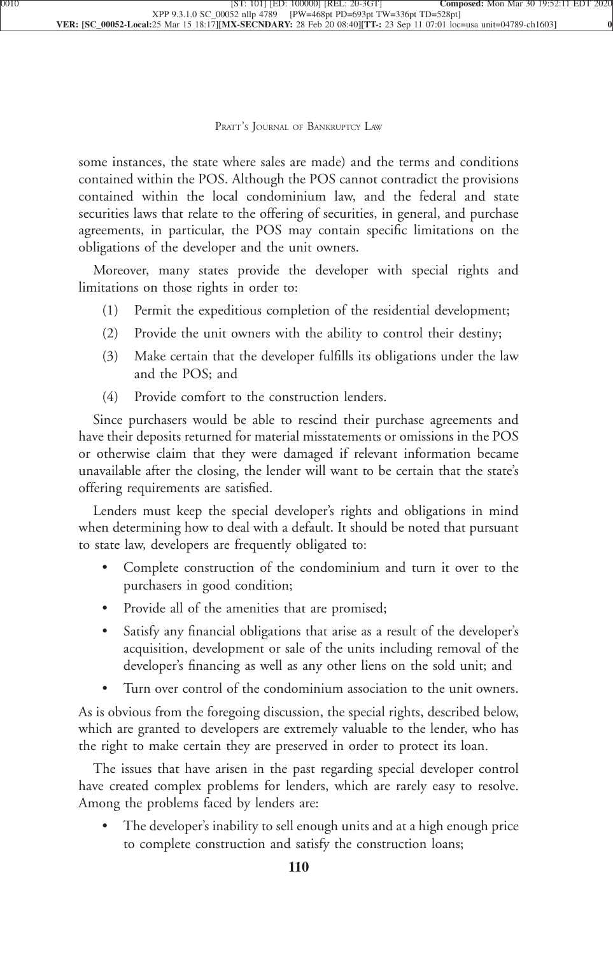some instances, the state where sales are made) and the terms and conditions contained within the POS. Although the POS cannot contradict the provisions contained within the local condominium law, and the federal and state securities laws that relate to the offering of securities, in general, and purchase agreements, in particular, the POS may contain specific limitations on the [obligations of the developer and the unit owners.](xpath-> core:para,  Default,  para-list,  style_01)

[Moreover, many states provide the developer with special rights and](xpath-> core:para,  Default,  para-list,  style_01) [limitations on those rights in order to:](xpath-> core:para,  Default,  para-list,  style_01)

- [\(1\)](xpath-> core:enum,  core:listitem/core:enum,  para-list,  style_01) [Permit the expeditious completion of the residential development;](xpath-> core:para,  core:listitem/core:para,  para-list,  style_01)
- [\(2\)](xpath-> core:enum,  core:listitem/core:enum,  para-list,  style_01) [Provide the unit owners with the ability to control their destiny;](xpath-> core:para,  core:listitem/core:para,  para-list,  style_01)
- [\(3\)](xpath-> core:enum,  core:listitem/core:enum,  para-list,  style_01) [Make certain that the developer fulfills its obligations under the law](xpath-> core:para,  core:listitem/core:para,  para-list,  style_01) [and the POS; and](xpath-> core:para,  core:listitem/core:para,  para-list,  style_01)
- [\(4\)](xpath-> core:enum,  core:listitem/core:enum,  para-list,  style_01) [Provide comfort to the construction lenders.](xpath-> core:para,  core:listitem/core:para,  para-list,  style_01)

[Since purchasers would be able to rescind their purchase agreements and](xpath-> core:para,  Default,  para-list,  style_01) [have their deposits returned for material misstatements or omissions in the POS](xpath-> core:para,  Default,  para-list,  style_01) [or otherwise claim that they were damaged if relevant information became](xpath-> core:para,  Default,  para-list,  style_01) [unavailable after the closing, the lender will want to be certain that the state's](xpath-> core:para,  Default,  para-list,  style_01) [offering requirements are satisfied.](xpath-> core:para,  Default,  para-list,  style_01)

[Lenders must keep the special developer's rights and obligations in mind](xpath-> core:para,  Default,  para-list,  style_01) [when determining how to deal with a default. It should be noted that pursuant](xpath-> core:para,  Default,  para-list,  style_01) [to state law, developers are frequently obligated to:](xpath-> core:para,  Default,  para-list,  style_01)

- Complete construction of the condominium and turn it over to the [purchasers in good condition;](xpath-> core:para,  core:listitem/core:para,  para-list,  style_01)
- [•](xpath-> core:enum,  core:listitem/core:enum,  para-list,  style_01) [Provide all of the amenities that are promised;](xpath-> core:para,  core:listitem/core:para,  para-list,  style_01)
- [•](xpath-> core:enum,  core:listitem/core:enum,  para-list,  style_01) [Satisfy any financial obligations that arise as a result of the developer's](xpath-> core:para,  core:listitem/core:para,  para-list,  style_01) [acquisition, development or sale of the units including removal of the](xpath-> core:para,  core:listitem/core:para,  para-list,  style_01) [developer's financing as well as any other liens on the sold unit; and](xpath-> core:para,  core:listitem/core:para,  para-list,  style_01)
- Turn over control of the condominium association to the unit owners.

[As is obvious from the foregoing discussion, the special rights, described below,](xpath-> core:para,  Default,  para-list,  style_01) [which are granted to developers are extremely valuable to the lender, who has](xpath-> core:para,  Default,  para-list,  style_01) [the right to make certain they are preserved in order to protect its loan.](xpath-> core:para,  Default,  para-list,  style_01)

[The issues that have arisen in the past regarding special developer control](xpath-> core:para,  Default,  para-list,  style_01) [have created complex problems for lenders, which are rarely easy to resolve.](xpath-> core:para,  Default,  para-list,  style_01) [Among the problems faced by lenders are:](xpath-> core:para,  Default,  para-list,  style_01)

The developer's inability to sell enough units and at a high enough price [to complete construction and satisfy the construction loans;](xpath-> core:para,  core:listitem/core:para,  para-list,  style_01)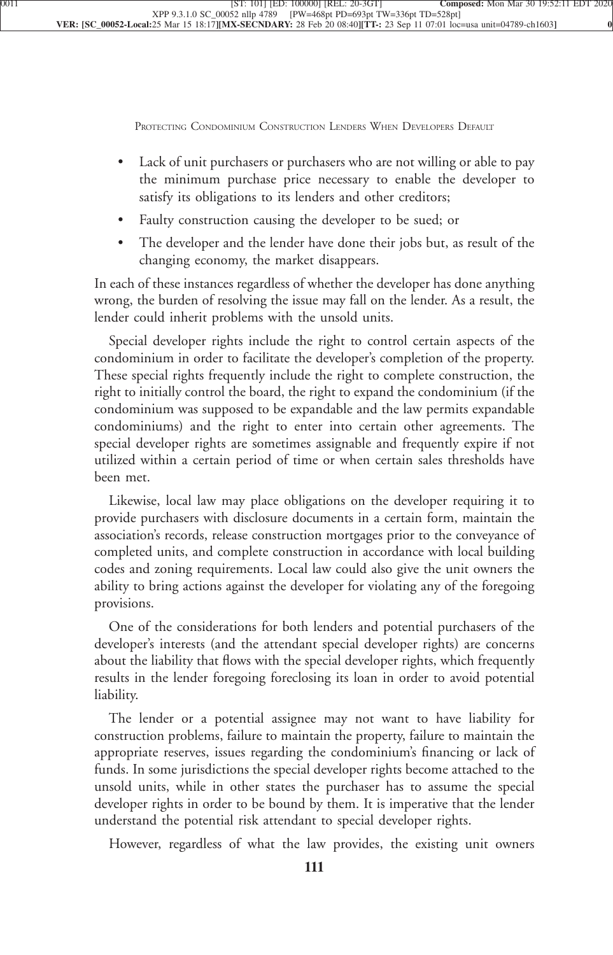PROTECTING CONDOMINIUM CONSTRUCTION LENDERS WHEN DEVELOPERS DEFAULT

- [•](xpath-> core:enum,  core:listitem/core:enum,  para-list,  style_01) [Lack of unit purchasers or purchasers who are not willing or able to pay](xpath-> core:para,  core:listitem/core:para,  para-list,  style_01) [the minimum purchase price necessary to enable the developer to](xpath-> core:para,  core:listitem/core:para,  para-list,  style_01) [satisfy its obligations to its lenders and other creditors;](xpath-> core:para,  core:listitem/core:para,  para-list,  style_01)
- [•](xpath-> core:enum,  core:listitem/core:enum,  para-list,  style_01) [Faulty construction causing the developer to be sued; or](xpath-> core:para,  core:listitem/core:para,  para-list,  style_01)
- [•](xpath-> core:enum,  core:listitem/core:enum,  para-list,  style_01) [The developer and the lender have done their jobs but, as result of the](xpath-> core:para,  core:listitem/core:para,  para-list,  style_01) [changing economy, the market disappears.](xpath-> core:para,  core:listitem/core:para,  para-list,  style_01)

[In each of these instances regardless of whether the developer has done anything](xpath-> core:para,  Default,  para-list,  style_01) [wrong, the burden of resolving the issue may fall on the lender. As a result, the](xpath-> core:para,  Default,  para-list,  style_01) [lender could inherit problems with the unsold units.](xpath-> core:para,  Default,  para-list,  style_01)

[Special developer rights include the right to control certain aspects of the](xpath-> core:para,  Default,  para-list,  style_01) [condominium in order to facilitate the developer's completion of the property.](xpath-> core:para,  Default,  para-list,  style_01) [These special rights frequently include the right to complete construction, the](xpath-> core:para,  Default,  para-list,  style_01) [right to initially control the board, the right to expand the condominium \(if the](xpath-> core:para,  Default,  para-list,  style_01) [condominium was supposed to be expandable and the law permits expandable](xpath-> core:para,  Default,  para-list,  style_01) [condominiums\) and the right to enter into certain other agreements. The](xpath-> core:para,  Default,  para-list,  style_01) [special developer rights are sometimes assignable and frequently expire if not](xpath-> core:para,  Default,  para-list,  style_01) [utilized within a certain period of time or when certain sales thresholds have](xpath-> core:para,  Default,  para-list,  style_01) [been met.](xpath-> core:para,  Default,  para-list,  style_01)

[Likewise, local law may place obligations on the developer requiring it to](xpath-> core:para,  Default,  para-list,  style_01) [provide purchasers with disclosure documents in a certain form, maintain the](xpath-> core:para,  Default,  para-list,  style_01) [association's records, release construction mortgages prior to the conveyance of](xpath-> core:para,  Default,  para-list,  style_01) [completed units, and complete construction in accordance with local building](xpath-> core:para,  Default,  para-list,  style_01) [codes and zoning requirements. Local law could also give the unit owners the](xpath-> core:para,  Default,  para-list,  style_01) [ability to bring actions against the developer for violating any of the foregoing](xpath-> core:para,  Default,  para-list,  style_01) [provisions.](xpath-> core:para,  Default,  para-list,  style_01)

[One of the considerations for both lenders and potential purchasers of the](xpath-> core:para,  Default,  para-list,  style_01) [developer's interests \(and the attendant special developer rights\) are concerns](xpath-> core:para,  Default,  para-list,  style_01) [about the liability that flows with the special developer rights, which frequently](xpath-> core:para,  Default,  para-list,  style_01) [results in the lender foregoing foreclosing its loan in order to avoid potential](xpath-> core:para,  Default,  para-list,  style_01) [liability.](xpath-> core:para,  Default,  para-list,  style_01)

[The lender or a potential assignee may not want to have liability for](xpath-> core:para,  Default,  para-list,  style_01) [construction problems, failure to maintain the property, failure to maintain the](xpath-> core:para,  Default,  para-list,  style_01) [appropriate reserves, issues regarding the condominium's financing or lack of](xpath-> core:para,  Default,  para-list,  style_01) [funds. In some jurisdictions the special developer rights become attached to the](xpath-> core:para,  Default,  para-list,  style_01) [unsold units, while in other states the purchaser has to assume the special](xpath-> core:para,  Default,  para-list,  style_01) [developer rights in order to be bound by them. It is imperative that the lender](xpath-> core:para,  Default,  para-list,  style_01) [understand the potential risk attendant to special developer rights.](xpath-> core:para,  Default,  para-list,  style_01)

[However, regardless of what the law provides, the existing unit owners](xpath-> core:para,  Default,  para-list,  style_01)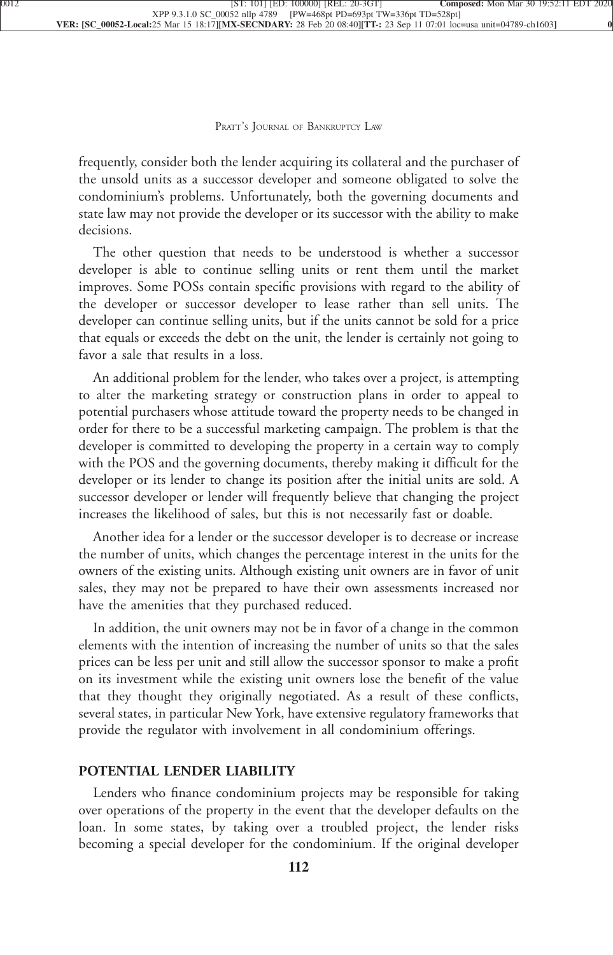frequently, consider both the lender acquiring its collateral and the purchaser of the unsold units as a successor developer and someone obligated to solve the condominium's problems. Unfortunately, both the governing documents and state law may not provide the developer or its successor with the ability to make [decisions.](xpath-> core:para,  Default,  para-list,  style_01)

[The other question that needs to be understood is whether a successor](xpath-> core:para,  Default,  para-list,  style_01) [developer is able to continue selling units or rent them until the market](xpath-> core:para,  Default,  para-list,  style_01) [improves. Some POSs contain specific provisions with regard to the ability of](xpath-> core:para,  Default,  para-list,  style_01) [the developer or successor developer to lease rather than sell units. The](xpath-> core:para,  Default,  para-list,  style_01) [developer can continue selling units, but if the units cannot be sold for a price](xpath-> core:para,  Default,  para-list,  style_01) [that equals or exceeds the debt on the unit, the lender is certainly not going to](xpath-> core:para,  Default,  para-list,  style_01) [favor a sale that results in a loss.](xpath-> core:para,  Default,  para-list,  style_01)

[An additional problem for the lender, who takes over a project, is attempting](xpath-> core:para,  Default,  para-list,  style_01) [to alter the marketing strategy or construction plans in order to appeal to](xpath-> core:para,  Default,  para-list,  style_01) [potential purchasers whose attitude toward the property needs to be changed in](xpath-> core:para,  Default,  para-list,  style_01) [order for there to be a successful marketing campaign. The problem is that the](xpath-> core:para,  Default,  para-list,  style_01) [developer is committed to developing the property in a certain way to comply](xpath-> core:para,  Default,  para-list,  style_01) [with the POS and the governing documents, thereby making it difficult for the](xpath-> core:para,  Default,  para-list,  style_01) [developer or its lender to change its position after the initial units are sold. A](xpath-> core:para,  Default,  para-list,  style_01) [successor developer or lender will frequently believe that changing the project](xpath-> core:para,  Default,  para-list,  style_01) [increases the likelihood of sales, but this is not necessarily fast or doable.](xpath-> core:para,  Default,  para-list,  style_01)

[Another idea for a lender or the successor developer is to decrease or increase](xpath-> core:para,  Default,  para-list,  style_01) [the number of units, which changes the percentage interest in the units for the](xpath-> core:para,  Default,  para-list,  style_01) [owners of the existing units. Although existing unit owners are in favor of unit](xpath-> core:para,  Default,  para-list,  style_01) [sales, they may not be prepared to have their own assessments increased nor](xpath-> core:para,  Default,  para-list,  style_01) [have the amenities that they purchased reduced.](xpath-> core:para,  Default,  para-list,  style_01)

[In addition, the unit owners may not be in favor of a change in the common](xpath-> core:para,  Default,  para-list,  style_01) [elements with the intention of increasing the number of units so that the sales](xpath-> core:para,  Default,  para-list,  style_01) [prices can be less per unit and still allow the successor sponsor to make a profit](xpath-> core:para,  Default,  para-list,  style_01) [on its investment while the existing unit owners lose the benefit of the value](xpath-> core:para,  Default,  para-list,  style_01) [that they thought they originally negotiated. As a result of these conflicts,](xpath-> core:para,  Default,  para-list,  style_01) [several states, in particular New York, have extensive regulatory frameworks that](xpath-> core:para,  Default,  para-list,  style_01) [provide the regulator with involvement in all condominium offerings.](xpath-> core:para,  Default,  para-list,  style_01)

## **[POTENTIAL LENDER LIABILITY](xpath-> core:generic-hd,  Default,  core_generic_hd,  style_01)**

[Lenders who finance condominium projects may be responsible for taking](xpath-> core:para,  Default,  para-list,  style_01) [over operations of the property in the event that the developer defaults on the](xpath-> core:para,  Default,  para-list,  style_01) [loan. In some states, by taking over a troubled project, the lender risks](xpath-> core:para,  Default,  para-list,  style_01) [becoming a special developer for the condominium. If the original developer](xpath-> core:para,  Default,  para-list,  style_01)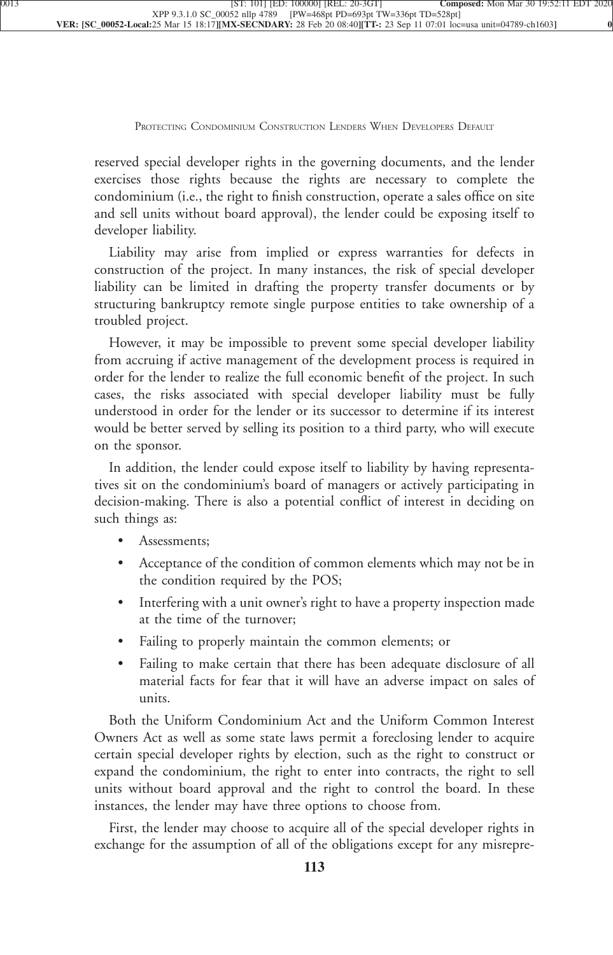reserved special developer rights in the governing documents, and the lender exercises those rights because the rights are necessary to complete the condominium (i.e., the right to finish construction, operate a sales office on site and sell units without board approval), the lender could be exposing itself to [developer liability.](xpath-> core:para,  Default,  para-list,  style_01)

[Liability may arise from implied or express warranties for defects in](xpath-> core:para,  Default,  para-list,  style_01) [construction of the project. In many instances, the risk of special developer](xpath-> core:para,  Default,  para-list,  style_01) [liability can be limited in drafting the property transfer documents or by](xpath-> core:para,  Default,  para-list,  style_01) [structuring bankruptcy remote single purpose entities to take ownership of a](xpath-> core:para,  Default,  para-list,  style_01) [troubled project.](xpath-> core:para,  Default,  para-list,  style_01)

[However, it may be impossible to prevent some special developer liability](xpath-> core:para,  Default,  para-list,  style_01) [from accruing if active management of the development process is required in](xpath-> core:para,  Default,  para-list,  style_01) [order for the lender to realize the full economic benefit of the project. In such](xpath-> core:para,  Default,  para-list,  style_01) [cases, the risks associated with special developer liability must be fully](xpath-> core:para,  Default,  para-list,  style_01) [understood in order for the lender or its successor to determine if its interest](xpath-> core:para,  Default,  para-list,  style_01) [would be better served by selling its position to a third party, who will execute](xpath-> core:para,  Default,  para-list,  style_01) [on the sponsor.](xpath-> core:para,  Default,  para-list,  style_01)

[In addition, the lender could expose itself to liability by having representa](xpath-> core:para,  Default,  para-list,  style_01)[tives sit on the condominium's board of managers or actively participating in](xpath-> core:para,  Default,  para-list,  style_01) [decision-making. There is also a potential conflict of interest in deciding on](xpath-> core:para,  Default,  para-list,  style_01) [such things as:](xpath-> core:para,  Default,  para-list,  style_01)

- [•](xpath-> core:enum,  core:listitem/core:enum,  para-list,  style_01) [Assessments;](xpath-> core:para,  core:listitem/core:para,  para-list,  style_01)
- Acceptance of the condition of common elements which may not be in [the condition required by the POS;](xpath-> core:para,  core:listitem/core:para,  para-list,  style_01)
- [•](xpath-> core:enum,  core:listitem/core:enum,  para-list,  style_01) [Interfering with a unit owner's right to have a property inspection made](xpath-> core:para,  core:listitem/core:para,  para-list,  style_01) [at the time of the turnover;](xpath-> core:para,  core:listitem/core:para,  para-list,  style_01)
- [•](xpath-> core:enum,  core:listitem/core:enum,  para-list,  style_01) [Failing to properly maintain the common elements; or](xpath-> core:para,  core:listitem/core:para,  para-list,  style_01)
- [•](xpath-> core:enum,  core:listitem/core:enum,  para-list,  style_01) [Failing to make certain that there has been adequate disclosure of all](xpath-> core:para,  core:listitem/core:para,  para-list,  style_01) [material facts for fear that it will have an adverse impact on sales of](xpath-> core:para,  core:listitem/core:para,  para-list,  style_01) [units.](xpath-> core:para,  core:listitem/core:para,  para-list,  style_01)

[Both the Uniform Condominium Act and the Uniform Common Interest](xpath-> core:para,  Default,  para-list,  style_01) [Owners Act as well as some state laws permit a foreclosing lender to acquire](xpath-> core:para,  Default,  para-list,  style_01) [certain special developer rights by election, such as the right to construct or](xpath-> core:para,  Default,  para-list,  style_01) [expand the condominium, the right to enter into contracts, the right to sell](xpath-> core:para,  Default,  para-list,  style_01) [units without board approval and the right to control the board. In these](xpath-> core:para,  Default,  para-list,  style_01) [instances, the lender may have three options to choose from.](xpath-> core:para,  Default,  para-list,  style_01)

[First, the lender may choose to acquire all of the special developer rights in](xpath-> core:para,  Default,  para-list,  style_01) [exchange for the assumption of all of the obligations except for any misrepre-](xpath-> core:para,  Default,  para-list,  style_01)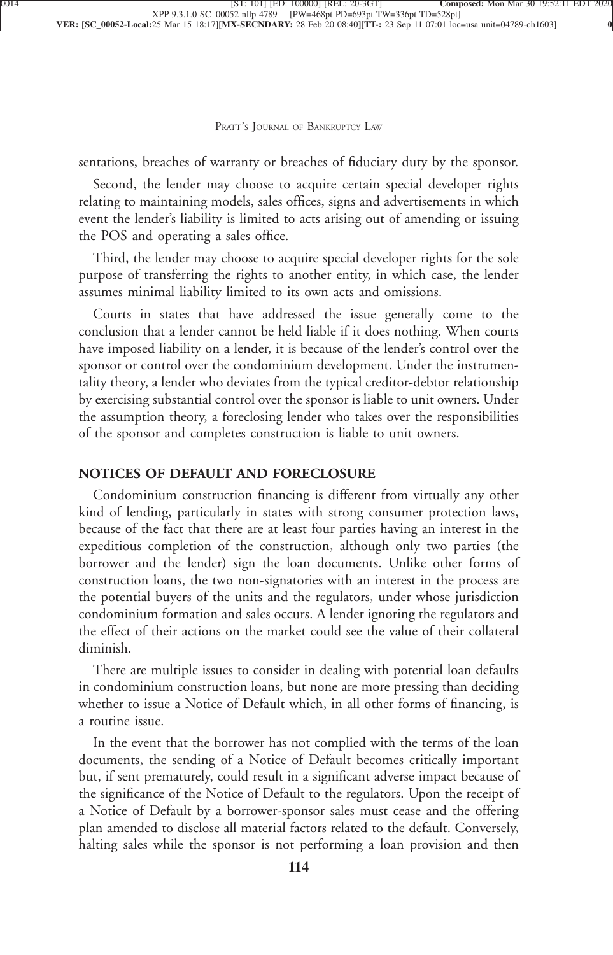[sentations, breaches of warranty or breaches of fiduciary duty by the sponsor.](xpath-> core:para,  Default,  para-list,  style_01)

[Second, the lender may choose to acquire certain special developer rights](xpath-> core:para,  Default,  para-list,  style_01) [relating to maintaining models, sales offices, signs and advertisements in which](xpath-> core:para,  Default,  para-list,  style_01) [event the lender's liability is limited to acts arising out of amending or issuing](xpath-> core:para,  Default,  para-list,  style_01) [the POS and operating a sales office.](xpath-> core:para,  Default,  para-list,  style_01)

[Third, the lender may choose to acquire special developer rights for the sole](xpath-> core:para,  Default,  para-list,  style_01) [purpose of transferring the rights to another entity, in which case, the lender](xpath-> core:para,  Default,  para-list,  style_01) [assumes minimal liability limited to its own acts and omissions.](xpath-> core:para,  Default,  para-list,  style_01)

[Courts in states that have addressed the issue generally come to the](xpath-> core:para,  Default,  para-list,  style_01) [conclusion that a lender cannot be held liable if it does nothing. When courts](xpath-> core:para,  Default,  para-list,  style_01) [have imposed liability on a lender, it is because of the lender's control over the](xpath-> core:para,  Default,  para-list,  style_01) [sponsor or control over the condominium development. Under the instrumen](xpath-> core:para,  Default,  para-list,  style_01)[tality theory, a lender who deviates from the typical creditor-debtor relationship](xpath-> core:para,  Default,  para-list,  style_01) [by exercising substantial control over the sponsor is liable to unit owners. Under](xpath-> core:para,  Default,  para-list,  style_01) [the assumption theory, a foreclosing lender who takes over the responsibilities](xpath-> core:para,  Default,  para-list,  style_01) [of the sponsor and completes construction is liable to unit owners.](xpath-> core:para,  Default,  para-list,  style_01)

## **[NOTICES OF DEFAULT AND FORECLOSURE](xpath-> core:generic-hd,  Default,  core_generic_hd,  style_01)**

[Condominium construction financing is different from virtually any other](xpath-> core:para,  Default,  para-list,  style_01) [kind of lending, particularly in states with strong consumer protection laws,](xpath-> core:para,  Default,  para-list,  style_01) [because of the fact that there are at least four parties having an interest in the](xpath-> core:para,  Default,  para-list,  style_01) [expeditious completion of the construction, although only two parties \(the](xpath-> core:para,  Default,  para-list,  style_01) [borrower and the lender\) sign the loan documents. Unlike other forms of](xpath-> core:para,  Default,  para-list,  style_01) [construction loans, the two non-signatories with an interest in the process are](xpath-> core:para,  Default,  para-list,  style_01) [the potential buyers of the units and the regulators, under whose jurisdiction](xpath-> core:para,  Default,  para-list,  style_01) [condominium formation and sales occurs. A lender ignoring the regulators and](xpath-> core:para,  Default,  para-list,  style_01) [the effect of their actions on the market could see the value of their collateral](xpath-> core:para,  Default,  para-list,  style_01) [diminish.](xpath-> core:para,  Default,  para-list,  style_01)

[There are multiple issues to consider in dealing with potential loan defaults](xpath-> core:para,  Default,  para-list,  style_01) [in condominium construction loans, but none are more pressing than deciding](xpath-> core:para,  Default,  para-list,  style_01) [whether to issue a Notice of Default which, in all other forms of financing, is](xpath-> core:para,  Default,  para-list,  style_01) [a routine issue.](xpath-> core:para,  Default,  para-list,  style_01)

[In the event that the borrower has not complied with the terms of the loan](xpath-> core:para,  Default,  para-list,  style_01) [documents, the sending of a Notice of Default becomes critically important](xpath-> core:para,  Default,  para-list,  style_01) [but, if sent prematurely, could result in a significant adverse impact because of](xpath-> core:para,  Default,  para-list,  style_01) [the significance of the Notice of Default to the regulators. Upon the receipt of](xpath-> core:para,  Default,  para-list,  style_01) [a Notice of Default by a borrower-sponsor sales must cease and the offering](xpath-> core:para,  Default,  para-list,  style_01) [plan amended to disclose all material factors related to the default. Conversely,](xpath-> core:para,  Default,  para-list,  style_01) [halting sales while the sponsor is not performing a loan provision and then](xpath-> core:para,  Default,  para-list,  style_01)